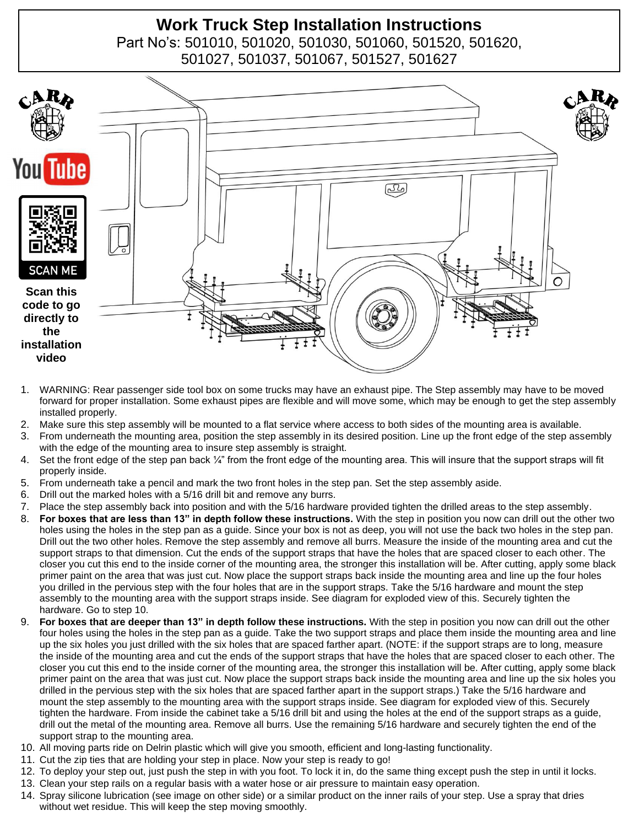# **Work Truck Step Installation Instructions**

Part No's: 501010, 501020, 501030, 501060, 501520, 501620, 501027, 501037, 501067, 501527, 501627



- 1. WARNING: Rear passenger side tool box on some trucks may have an exhaust pipe. The Step assembly may have to be moved forward for proper installation. Some exhaust pipes are flexible and will move some, which may be enough to get the step assembly installed properly.
- 2. Make sure this step assembly will be mounted to a flat service where access to both sides of the mounting area is available.
- 3. From underneath the mounting area, position the step assembly in its desired position. Line up the front edge of the step assembly with the edge of the mounting area to insure step assembly is straight.
- 4. Set the front edge of the step pan back  $\frac{1}{4}$ " from the front edge of the mounting area. This will insure that the support straps will fit properly inside.
- 5. From underneath take a pencil and mark the two front holes in the step pan. Set the step assembly aside.
- 6. Drill out the marked holes with a 5/16 drill bit and remove any burrs.
- 7. Place the step assembly back into position and with the 5/16 hardware provided tighten the drilled areas to the step assembly.
- 8. **For boxes that are less than 13" in depth follow these instructions.** With the step in position you now can drill out the other two holes using the holes in the step pan as a guide. Since your box is not as deep, you will not use the back two holes in the step pan. Drill out the two other holes. Remove the step assembly and remove all burrs. Measure the inside of the mounting area and cut the support straps to that dimension. Cut the ends of the support straps that have the holes that are spaced closer to each other. The closer you cut this end to the inside corner of the mounting area, the stronger this installation will be. After cutting, apply some black primer paint on the area that was just cut. Now place the support straps back inside the mounting area and line up the four holes you drilled in the pervious step with the four holes that are in the support straps. Take the 5/16 hardware and mount the step assembly to the mounting area with the support straps inside. See diagram for exploded view of this. Securely tighten the hardware. Go to step 10.
- 9. **For boxes that are deeper than 13" in depth follow these instructions.** With the step in position you now can drill out the other four holes using the holes in the step pan as a guide. Take the two support straps and place them inside the mounting area and line up the six holes you just drilled with the six holes that are spaced farther apart. (NOTE: if the support straps are to long, measure the inside of the mounting area and cut the ends of the support straps that have the holes that are spaced closer to each other. The closer you cut this end to the inside corner of the mounting area, the stronger this installation will be. After cutting, apply some black primer paint on the area that was just cut. Now place the support straps back inside the mounting area and line up the six holes you drilled in the pervious step with the six holes that are spaced farther apart in the support straps.) Take the 5/16 hardware and mount the step assembly to the mounting area with the support straps inside. See diagram for exploded view of this. Securely tighten the hardware. From inside the cabinet take a 5/16 drill bit and using the holes at the end of the support straps as a guide, drill out the metal of the mounting area. Remove all burrs. Use the remaining 5/16 hardware and securely tighten the end of the support strap to the mounting area.
- 10. All moving parts ride on Delrin plastic which will give you smooth, efficient and long-lasting functionality.
- 11. Cut the zip ties that are holding your step in place. Now your step is ready to go!
- 12. To deploy your step out, just push the step in with you foot. To lock it in, do the same thing except push the step in until it locks.
- 13. Clean your step rails on a regular basis with a water hose or air pressure to maintain easy operation.
- 14. Spray silicone lubrication (see image on other side) or a similar product on the inner rails of your step. Use a spray that dries without wet residue. This will keep the step moving smoothly.